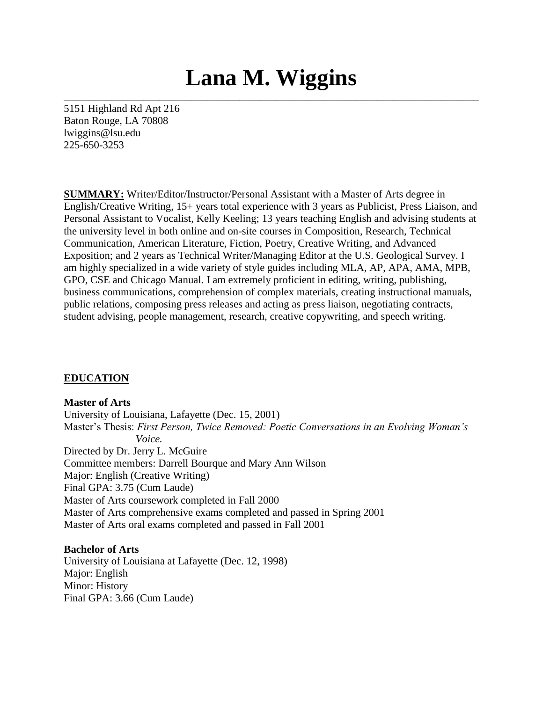# **Lana M. Wiggins**

\_\_\_\_\_\_\_\_\_\_\_\_\_\_\_\_\_\_\_\_\_\_\_\_\_\_\_\_\_\_\_\_\_\_\_\_\_\_\_\_\_\_\_\_\_\_\_\_\_\_\_\_\_\_\_\_\_\_\_\_\_\_\_\_\_\_\_\_\_\_\_\_\_\_\_\_\_\_

5151 Highland Rd Apt 216 Baton Rouge, LA 70808 lwiggins@lsu.edu 225-650-3253

**SUMMARY:** Writer/Editor/Instructor/Personal Assistant with a Master of Arts degree in English/Creative Writing, 15+ years total experience with 3 years as Publicist, Press Liaison, and Personal Assistant to Vocalist, Kelly Keeling; 13 years teaching English and advising students at the university level in both online and on-site courses in Composition, Research, Technical Communication, American Literature, Fiction, Poetry, Creative Writing, and Advanced Exposition; and 2 years as Technical Writer/Managing Editor at the U.S. Geological Survey. I am highly specialized in a wide variety of style guides including MLA, AP, APA, AMA, MPB, GPO, CSE and Chicago Manual. I am extremely proficient in editing, writing, publishing, business communications, comprehension of complex materials, creating instructional manuals, public relations, composing press releases and acting as press liaison, negotiating contracts, student advising, people management, research, creative copywriting, and speech writing.

#### **EDUCATION**

#### **Master of Arts**

University of Louisiana, Lafayette (Dec. 15, 2001) Master's Thesis: *First Person, Twice Removed: Poetic Conversations in an Evolving Woman's Voice.* Directed by Dr. Jerry L. McGuire Committee members: Darrell Bourque and Mary Ann Wilson Major: English (Creative Writing) Final GPA: 3.75 (Cum Laude) Master of Arts coursework completed in Fall 2000 Master of Arts comprehensive exams completed and passed in Spring 2001 Master of Arts oral exams completed and passed in Fall 2001

#### **Bachelor of Arts**

University of Louisiana at Lafayette (Dec. 12, 1998) Major: English Minor: History Final GPA: 3.66 (Cum Laude)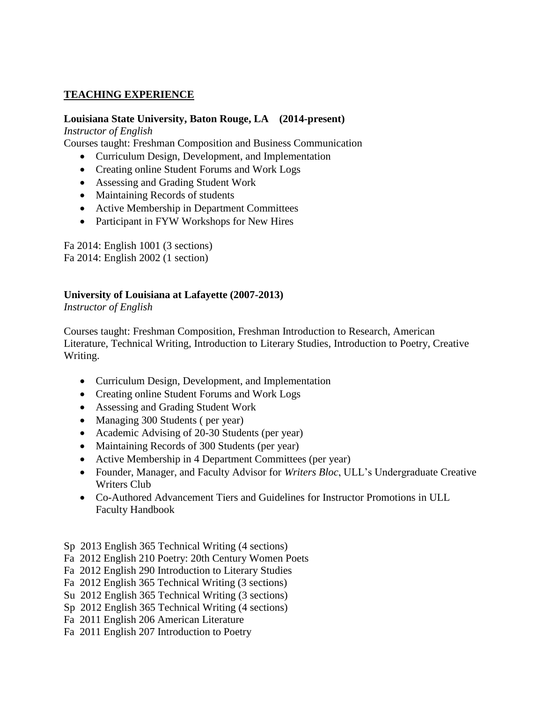## **TEACHING EXPERIENCE**

## **Louisiana State University, Baton Rouge, LA (2014-present)**

*Instructor of English*

Courses taught: Freshman Composition and Business Communication

- Curriculum Design, Development, and Implementation
- Creating online Student Forums and Work Logs
- Assessing and Grading Student Work
- Maintaining Records of students
- Active Membership in Department Committees
- Participant in FYW Workshops for New Hires

Fa 2014: English 1001 (3 sections) Fa 2014: English 2002 (1 section)

## **University of Louisiana at Lafayette (2007-2013)**

*Instructor of English*

Courses taught: Freshman Composition, Freshman Introduction to Research, American Literature, Technical Writing, Introduction to Literary Studies, Introduction to Poetry, Creative Writing.

- Curriculum Design, Development, and Implementation
- Creating online Student Forums and Work Logs
- Assessing and Grading Student Work
- Managing 300 Students (per year)
- Academic Advising of 20-30 Students (per year)
- Maintaining Records of 300 Students (per year)
- Active Membership in 4 Department Committees (per year)
- Founder, Manager, and Faculty Advisor for *Writers Bloc*, ULL's Undergraduate Creative Writers Club
- Co-Authored Advancement Tiers and Guidelines for Instructor Promotions in ULL Faculty Handbook

Sp 2013 English 365 Technical Writing (4 sections)

- Fa 2012 English 210 Poetry: 20th Century Women Poets
- Fa 2012 English 290 Introduction to Literary Studies
- Fa 2012 English 365 Technical Writing (3 sections)
- Su 2012 English 365 Technical Writing (3 sections)
- Sp 2012 English 365 Technical Writing (4 sections)
- Fa 2011 English 206 American Literature
- Fa 2011 English 207 Introduction to Poetry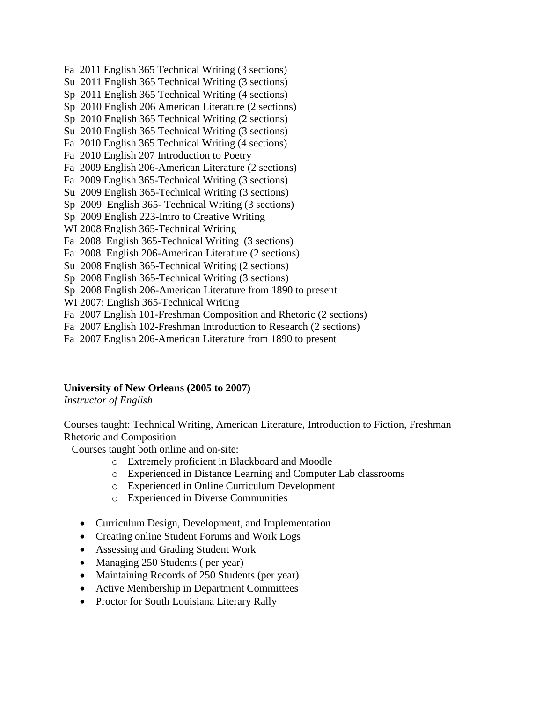Su 2011 English 365 Technical Writing (3 sections) Sp 2011 English 365 Technical Writing (4 sections) Sp 2010 English 206 American Literature (2 sections) Sp 2010 English 365 Technical Writing (2 sections) Su 2010 English 365 Technical Writing (3 sections) Fa 2010 English 365 Technical Writing (4 sections) Fa 2010 English 207 Introduction to Poetry Fa 2009 English 206-American Literature (2 sections) Fa 2009 English 365-Technical Writing (3 sections) Su 2009 English 365-Technical Writing (3 sections) Sp 2009 English 365- Technical Writing (3 sections) Sp 2009 English 223-Intro to Creative Writing

Fa 2011 English 365 Technical Writing (3 sections)

- WI 2008 English 365-Technical Writing
- Fa 2008 English 365-Technical Writing (3 sections)
- Fa 2008 English 206-American Literature (2 sections)
- Su 2008 English 365-Technical Writing (2 sections)
- Sp 2008 English 365-Technical Writing (3 sections)
- Sp 2008 English 206-American Literature from 1890 to present
- WI 2007: English 365-Technical Writing
- Fa 2007 English 101-Freshman Composition and Rhetoric (2 sections)
- Fa 2007 English 102-Freshman Introduction to Research (2 sections)
- Fa 2007 English 206-American Literature from 1890 to present

#### **University of New Orleans (2005 to 2007)**

*Instructor of English*

Courses taught: Technical Writing, American Literature, Introduction to Fiction, Freshman Rhetoric and Composition

Courses taught both online and on-site:

- o Extremely proficient in Blackboard and Moodle
- o Experienced in Distance Learning and Computer Lab classrooms
- o Experienced in Online Curriculum Development
- o Experienced in Diverse Communities
- Curriculum Design, Development, and Implementation
- Creating online Student Forums and Work Logs
- Assessing and Grading Student Work
- Managing 250 Students (per year)
- Maintaining Records of 250 Students (per year)
- Active Membership in Department Committees
- Proctor for South Louisiana Literary Rally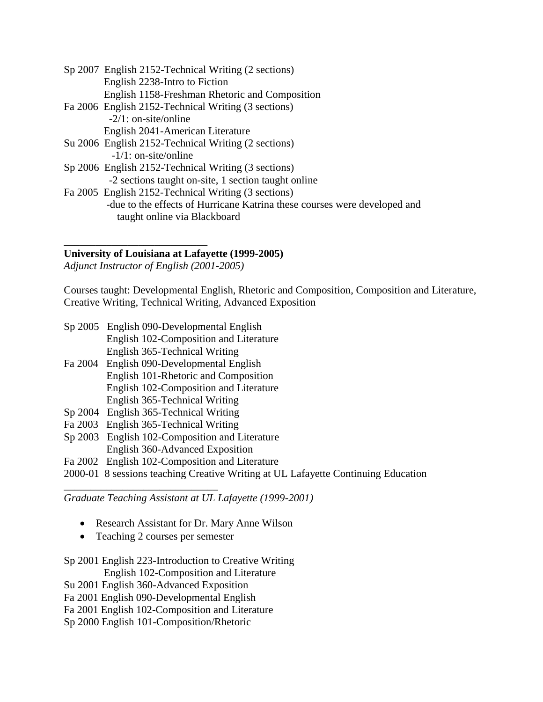| Sp 2007 English 2152-Technical Writing (2 sections)                       |
|---------------------------------------------------------------------------|
| English 2238-Intro to Fiction                                             |
| English 1158-Freshman Rhetoric and Composition                            |
| Fa 2006 English 2152-Technical Writing (3 sections)                       |
| $-2/1$ : on-site/online                                                   |
| English 2041-American Literature                                          |
| Su 2006 English 2152-Technical Writing (2 sections)                       |
| $-1/1$ : on-site/online                                                   |
| Sp 2006 English 2152-Technical Writing (3 sections)                       |
| -2 sections taught on-site, 1 section taught online                       |
| Fa 2005 English 2152-Technical Writing (3 sections)                       |
| -due to the effects of Hurricane Katrina these courses were developed and |

taught online via Blackboard

#### **University of Louisiana at Lafayette (1999-2005)**

*Adjunct Instructor of English (2001-2005)*

\_\_\_\_\_\_\_\_\_\_\_\_\_\_\_\_\_\_\_\_\_\_\_\_\_\_\_

Courses taught: Developmental English, Rhetoric and Composition, Composition and Literature, Creative Writing, Technical Writing, Advanced Exposition

- Sp 2005 English 090-Developmental English English 102-Composition and Literature English 365-Technical Writing
- Fa 2004 English 090-Developmental English English 101-Rhetoric and Composition English 102-Composition and Literature English 365-Technical Writing
- Sp 2004 English 365-Technical Writing
- Fa 2003 English 365-Technical Writing

\_\_\_\_\_\_\_\_\_\_\_\_\_\_\_\_\_\_\_\_\_\_\_\_\_\_\_\_\_

- Sp 2003 English 102-Composition and Literature
	- English 360-Advanced Exposition
- Fa 2002 English 102-Composition and Literature
- 2000-01 8 sessions teaching Creative Writing at UL Lafayette Continuing Education

*Graduate Teaching Assistant at UL Lafayette (1999-2001)*

- Research Assistant for Dr. Mary Anne Wilson
- Teaching 2 courses per semester

# Sp 2001 English 223-Introduction to Creative Writing

English 102-Composition and Literature

- Su 2001 English 360-Advanced Exposition
- Fa 2001 English 090-Developmental English
- Fa 2001 English 102-Composition and Literature
- Sp 2000 English 101-Composition/Rhetoric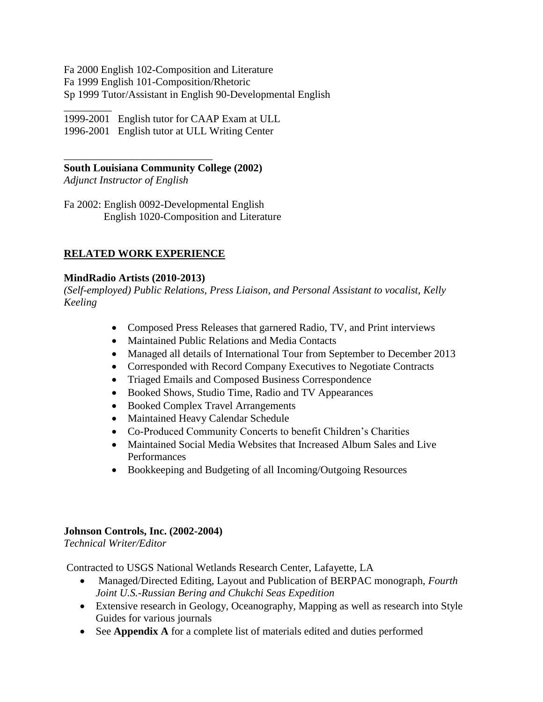Fa 2000 English 102-Composition and Literature Fa 1999 English 101-Composition/Rhetoric Sp 1999 Tutor/Assistant in English 90-Developmental English

\_\_\_\_\_\_\_\_\_ 1999-2001 English tutor for CAAP Exam at ULL 1996-2001 English tutor at ULL Writing Center

## **South Louisiana Community College (2002)**

*Adjunct Instructor of English*

\_\_\_\_\_\_\_\_\_\_\_\_\_\_\_\_\_\_\_\_\_\_\_\_\_\_\_\_

Fa 2002: English 0092-Developmental English English 1020-Composition and Literature

## **RELATED WORK EXPERIENCE**

#### **MindRadio Artists (2010-2013)**

*(Self-employed) Public Relations, Press Liaison, and Personal Assistant to vocalist, Kelly Keeling*

- Composed Press Releases that garnered Radio, TV, and Print interviews
- Maintained Public Relations and Media Contacts
- Managed all details of International Tour from September to December 2013
- Corresponded with Record Company Executives to Negotiate Contracts
- Triaged Emails and Composed Business Correspondence
- Booked Shows, Studio Time, Radio and TV Appearances
- Booked Complex Travel Arrangements
- Maintained Heavy Calendar Schedule
- Co-Produced Community Concerts to benefit Children's Charities
- Maintained Social Media Websites that Increased Album Sales and Live Performances
- Bookkeeping and Budgeting of all Incoming/Outgoing Resources

## **Johnson Controls, Inc. (2002-2004)**

*Technical Writer/Editor*

Contracted to USGS National Wetlands Research Center, Lafayette, LA

- Managed/Directed Editing, Layout and Publication of BERPAC monograph, *Fourth Joint U.S.-Russian Bering and Chukchi Seas Expedition*
- Extensive research in Geology, Oceanography, Mapping as well as research into Style Guides for various journals
- See **Appendix A** for a complete list of materials edited and duties performed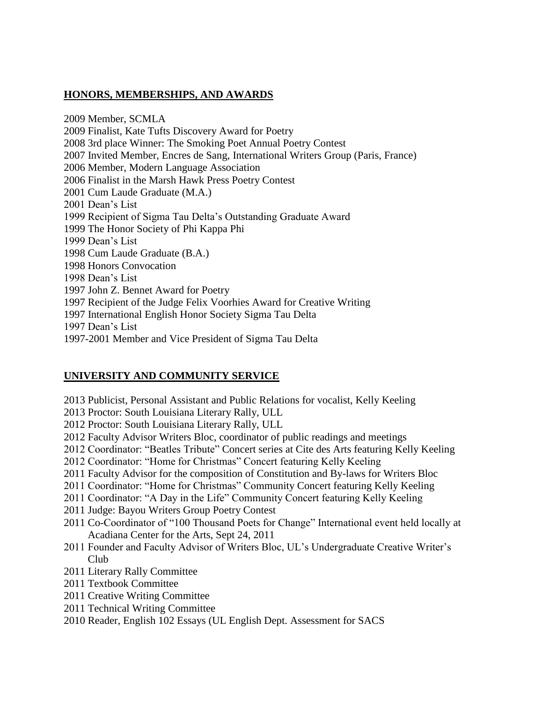## **HONORS, MEMBERSHIPS, AND AWARDS**

2009 Member, SCMLA 2009 Finalist, Kate Tufts Discovery Award for Poetry 2008 3rd place Winner: The Smoking Poet Annual Poetry Contest 2007 Invited Member, Encres de Sang, International Writers Group (Paris, France) 2006 Member, Modern Language Association 2006 Finalist in the Marsh Hawk Press Poetry Contest 2001 Cum Laude Graduate (M.A.) 2001 Dean's List 1999 Recipient of Sigma Tau Delta's Outstanding Graduate Award 1999 The Honor Society of Phi Kappa Phi 1999 Dean's List 1998 Cum Laude Graduate (B.A.) 1998 Honors Convocation 1998 Dean's List 1997 John Z. Bennet Award for Poetry 1997 Recipient of the Judge Felix Voorhies Award for Creative Writing 1997 International English Honor Society Sigma Tau Delta 1997 Dean's List 1997-2001 Member and Vice President of Sigma Tau Delta

## **UNIVERSITY AND COMMUNITY SERVICE**

- 2013 Publicist, Personal Assistant and Public Relations for vocalist, Kelly Keeling
- 2013 Proctor: South Louisiana Literary Rally, ULL
- 2012 Proctor: South Louisiana Literary Rally, ULL
- 2012 Faculty Advisor Writers Bloc, coordinator of public readings and meetings
- 2012 Coordinator: "Beatles Tribute" Concert series at Cite des Arts featuring Kelly Keeling
- 2012 Coordinator: "Home for Christmas" Concert featuring Kelly Keeling
- 2011 Faculty Advisor for the composition of Constitution and By-laws for Writers Bloc
- 2011 Coordinator: "Home for Christmas" Community Concert featuring Kelly Keeling
- 2011 Coordinator: "A Day in the Life" Community Concert featuring Kelly Keeling
- 2011 Judge: Bayou Writers Group Poetry Contest
- 2011 Co-Coordinator of "100 Thousand Poets for Change" International event held locally at Acadiana Center for the Arts, Sept 24, 2011
- 2011 Founder and Faculty Advisor of Writers Bloc, UL's Undergraduate Creative Writer's Club
- 2011 Literary Rally Committee
- 2011 Textbook Committee
- 2011 Creative Writing Committee
- 2011 Technical Writing Committee
- 2010 Reader, English 102 Essays (UL English Dept. Assessment for SACS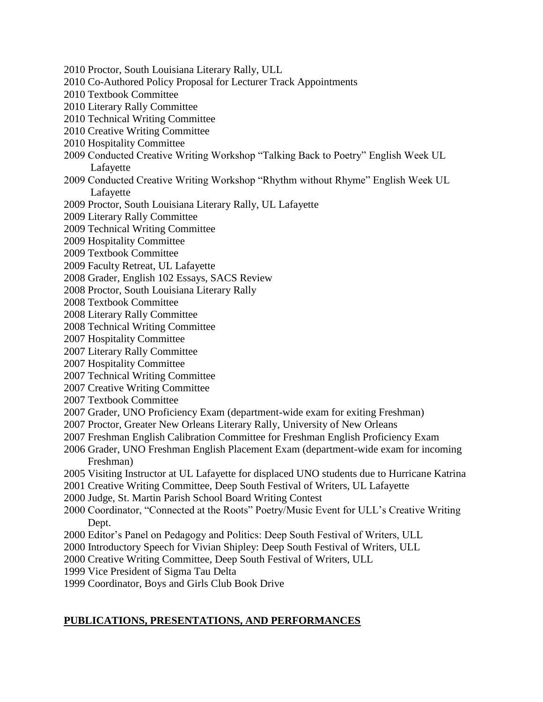- 2010 Proctor, South Louisiana Literary Rally, ULL
- 2010 Co-Authored Policy Proposal for Lecturer Track Appointments
- 2010 Textbook Committee
- 2010 Literary Rally Committee
- 2010 Technical Writing Committee
- 2010 Creative Writing Committee
- 2010 Hospitality Committee
- 2009 Conducted Creative Writing Workshop "Talking Back to Poetry" English Week UL Lafayette
- 2009 Conducted Creative Writing Workshop "Rhythm without Rhyme" English Week UL Lafayette
- 2009 Proctor, South Louisiana Literary Rally, UL Lafayette
- 2009 Literary Rally Committee
- 2009 Technical Writing Committee
- 2009 Hospitality Committee
- 2009 Textbook Committee
- 2009 Faculty Retreat, UL Lafayette
- 2008 Grader, English 102 Essays, SACS Review
- 2008 Proctor, South Louisiana Literary Rally
- 2008 Textbook Committee
- 2008 Literary Rally Committee
- 2008 Technical Writing Committee
- 2007 Hospitality Committee
- 2007 Literary Rally Committee
- 2007 Hospitality Committee
- 2007 Technical Writing Committee
- 2007 Creative Writing Committee
- 2007 Textbook Committee
- 2007 Grader, UNO Proficiency Exam (department-wide exam for exiting Freshman)
- 2007 Proctor, Greater New Orleans Literary Rally, University of New Orleans
- 2007 Freshman English Calibration Committee for Freshman English Proficiency Exam
- 2006 Grader, UNO Freshman English Placement Exam (department-wide exam for incoming Freshman)
- 2005 Visiting Instructor at UL Lafayette for displaced UNO students due to Hurricane Katrina
- 2001 Creative Writing Committee, Deep South Festival of Writers, UL Lafayette
- 2000 Judge, St. Martin Parish School Board Writing Contest
- 2000 Coordinator, "Connected at the Roots" Poetry/Music Event for ULL's Creative Writing Dept.
- 2000 Editor's Panel on Pedagogy and Politics: Deep South Festival of Writers, ULL
- 2000 Introductory Speech for Vivian Shipley: Deep South Festival of Writers, ULL
- 2000 Creative Writing Committee, Deep South Festival of Writers, ULL
- 1999 Vice President of Sigma Tau Delta
- 1999 Coordinator, Boys and Girls Club Book Drive

#### **PUBLICATIONS, PRESENTATIONS, AND PERFORMANCES**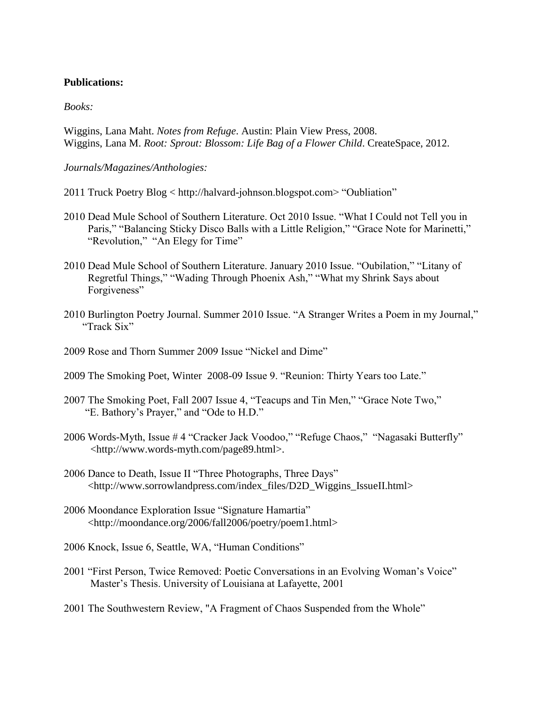#### **Publications:**

#### *Books:*

Wiggins, Lana Maht. *Notes from Refuge*. Austin: Plain View Press, 2008. Wiggins, Lana M. *Root: Sprout: Blossom: Life Bag of a Flower Child*. CreateSpace, 2012.

#### *Journals/Magazines/Anthologies:*

- 2011 Truck Poetry Blog < http://halvard-johnson.blogspot.com> "Oubliation"
- 2010 Dead Mule School of Southern Literature. Oct 2010 Issue. "What I Could not Tell you in Paris," "Balancing Sticky Disco Balls with a Little Religion," "Grace Note for Marinetti," "Revolution," "An Elegy for Time"
- 2010 Dead Mule School of Southern Literature. January 2010 Issue. "Oubilation," "Litany of Regretful Things," "Wading Through Phoenix Ash," "What my Shrink Says about Forgiveness"
- 2010 Burlington Poetry Journal. Summer 2010 Issue. "A Stranger Writes a Poem in my Journal," "Track Six"
- 2009 Rose and Thorn Summer 2009 Issue "Nickel and Dime"
- 2009 The Smoking Poet, Winter 2008-09 Issue 9. "Reunion: Thirty Years too Late."
- 2007 The Smoking Poet, Fall 2007 Issue 4, "Teacups and Tin Men," "Grace Note Two," "E. Bathory's Prayer," and "Ode to H.D."
- 2006 Words-Myth, Issue # 4 "Cracker Jack Voodoo," "Refuge Chaos," "Nagasaki Butterfly" <http://www.words-myth.com/page89.html>.
- 2006 Dance to Death, Issue II "Three Photographs, Three Days" <http://www.sorrowlandpress.com/index\_files/D2D\_Wiggins\_IssueII.html>
- 2006 Moondance Exploration Issue "Signature Hamartia" <http://moondance.org/2006/fall2006/poetry/poem1.html>
- 2006 Knock, Issue 6, Seattle, WA, "Human Conditions"
- 2001 "First Person, Twice Removed: Poetic Conversations in an Evolving Woman's Voice" Master's Thesis. University of Louisiana at Lafayette, 2001
- 2001 The Southwestern Review, "A Fragment of Chaos Suspended from the Whole"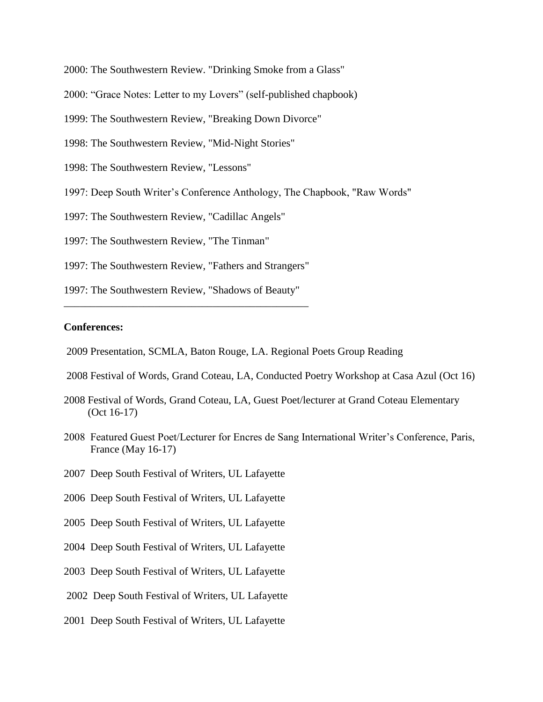2000: The Southwestern Review. "Drinking Smoke from a Glass"

- 2000: "Grace Notes: Letter to my Lovers" (self-published chapbook)
- 1999: The Southwestern Review, "Breaking Down Divorce"
- 1998: The Southwestern Review, "Mid-Night Stories"
- 1998: The Southwestern Review, "Lessons"
- 1997: Deep South Writer's Conference Anthology, The Chapbook, "Raw Words"
- 1997: The Southwestern Review, "Cadillac Angels"
- 1997: The Southwestern Review, "The Tinman"
- 1997: The Southwestern Review, "Fathers and Strangers"
- 1997: The Southwestern Review, "Shadows of Beauty" \_\_\_\_\_\_\_\_\_\_\_\_\_\_\_\_\_\_\_\_\_\_\_\_\_\_\_\_\_\_\_\_\_\_\_\_\_\_\_\_\_\_\_\_\_\_

#### **Conferences:**

- 2009 Presentation, SCMLA, Baton Rouge, LA. Regional Poets Group Reading
- 2008 Festival of Words, Grand Coteau, LA, Conducted Poetry Workshop at Casa Azul (Oct 16)
- 2008 Festival of Words, Grand Coteau, LA, Guest Poet/lecturer at Grand Coteau Elementary (Oct 16-17)
- 2008 Featured Guest Poet/Lecturer for Encres de Sang International Writer's Conference, Paris, France (May 16-17)
- 2007 Deep South Festival of Writers, UL Lafayette
- 2006 Deep South Festival of Writers, UL Lafayette
- 2005 Deep South Festival of Writers, UL Lafayette
- 2004 Deep South Festival of Writers, UL Lafayette
- 2003 Deep South Festival of Writers, UL Lafayette
- 2002 Deep South Festival of Writers, UL Lafayette
- 2001 Deep South Festival of Writers, UL Lafayette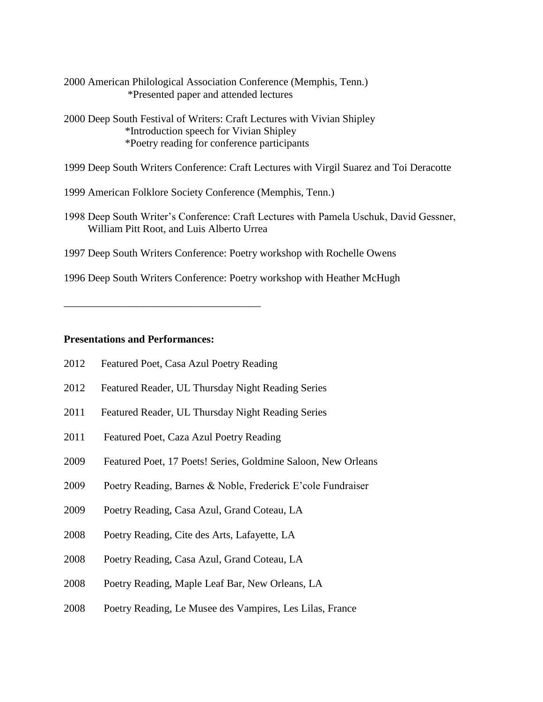- 2000 American Philological Association Conference (Memphis, Tenn.) \*Presented paper and attended lectures
- 2000 Deep South Festival of Writers: Craft Lectures with Vivian Shipley \*Introduction speech for Vivian Shipley \*Poetry reading for conference participants
- 1999 Deep South Writers Conference: Craft Lectures with Virgil Suarez and Toi Deracotte
- 1999 American Folklore Society Conference (Memphis, Tenn.)
- 1998 Deep South Writer's Conference: Craft Lectures with Pamela Uschuk, David Gessner, William Pitt Root, and Luis Alberto Urrea
- 1997 Deep South Writers Conference: Poetry workshop with Rochelle Owens
- 1996 Deep South Writers Conference: Poetry workshop with Heather McHugh

#### **Presentations and Performances:**

2012 Featured Poet, Casa Azul Poetry Reading

\_\_\_\_\_\_\_\_\_\_\_\_\_\_\_\_\_\_\_\_\_\_\_\_\_\_\_\_\_\_\_\_\_\_\_\_\_

- 2012 Featured Reader, UL Thursday Night Reading Series
- 2011 Featured Reader, UL Thursday Night Reading Series
- 2011 Featured Poet, Caza Azul Poetry Reading
- 2009 Featured Poet, 17 Poets! Series, Goldmine Saloon, New Orleans
- 2009 Poetry Reading, Barnes & Noble, Frederick E'cole Fundraiser
- 2009 Poetry Reading, Casa Azul, Grand Coteau, LA
- 2008 Poetry Reading, Cite des Arts, Lafayette, LA
- 2008 Poetry Reading, Casa Azul, Grand Coteau, LA
- 2008 Poetry Reading, Maple Leaf Bar, New Orleans, LA
- 2008 Poetry Reading, Le Musee des Vampires, Les Lilas, France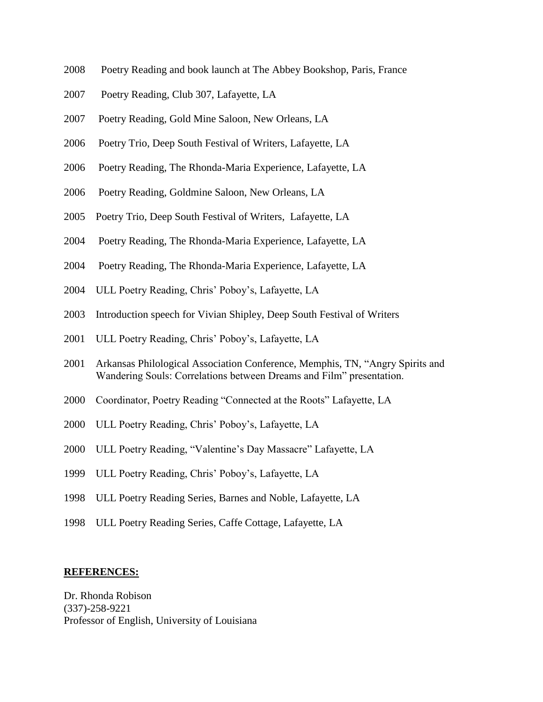- 2008 Poetry Reading and book launch at The Abbey Bookshop, Paris, France
- 2007 Poetry Reading, Club 307, Lafayette, LA
- 2007 Poetry Reading, Gold Mine Saloon, New Orleans, LA
- 2006 Poetry Trio, Deep South Festival of Writers, Lafayette, LA
- 2006 Poetry Reading, The Rhonda-Maria Experience, Lafayette, LA
- 2006 Poetry Reading, Goldmine Saloon, New Orleans, LA
- 2005 Poetry Trio, Deep South Festival of Writers, Lafayette, LA
- 2004 Poetry Reading, The Rhonda-Maria Experience, Lafayette, LA
- 2004 Poetry Reading, The Rhonda-Maria Experience, Lafayette, LA
- 2004 ULL Poetry Reading, Chris' Poboy's, Lafayette, LA
- 2003 Introduction speech for Vivian Shipley, Deep South Festival of Writers
- 2001 ULL Poetry Reading, Chris' Poboy's, Lafayette, LA
- 2001 Arkansas Philological Association Conference, Memphis, TN, "Angry Spirits and Wandering Souls: Correlations between Dreams and Film" presentation.
- 2000 Coordinator, Poetry Reading "Connected at the Roots" Lafayette, LA
- 2000 ULL Poetry Reading, Chris' Poboy's, Lafayette, LA
- 2000 ULL Poetry Reading, "Valentine's Day Massacre" Lafayette, LA
- 1999 ULL Poetry Reading, Chris' Poboy's, Lafayette, LA
- 1998 ULL Poetry Reading Series, Barnes and Noble, Lafayette, LA
- 1998 ULL Poetry Reading Series, Caffe Cottage, Lafayette, LA

#### **REFERENCES:**

Dr. Rhonda Robison (337)-258-9221 Professor of English, University of Louisiana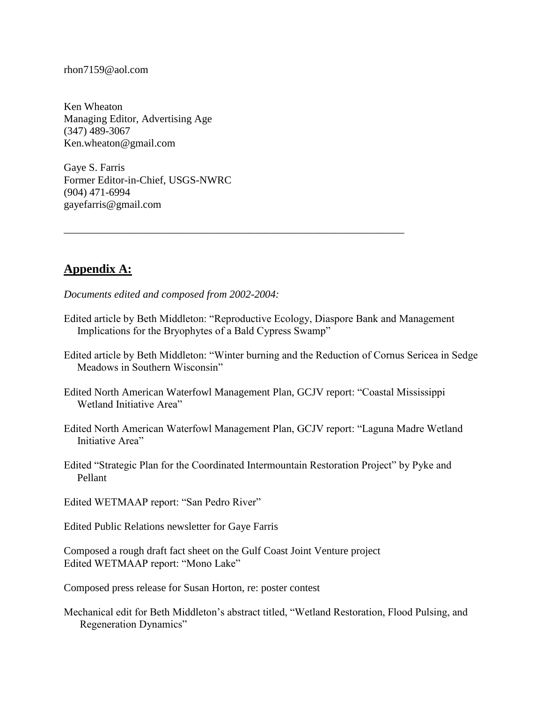rhon7159@aol.com

Ken Wheaton Managing Editor, Advertising Age (347) 489-3067 Ken.wheaton@gmail.com

Gaye S. Farris Former Editor-in-Chief, USGS-NWRC (904) 471-6994 gayefarris@gmail.com

# **Appendix A:**

*Documents edited and composed from 2002-2004:*

Edited article by Beth Middleton: "Reproductive Ecology, Diaspore Bank and Management Implications for the Bryophytes of a Bald Cypress Swamp"

\_\_\_\_\_\_\_\_\_\_\_\_\_\_\_\_\_\_\_\_\_\_\_\_\_\_\_\_\_\_\_\_\_\_\_\_\_\_\_\_\_\_\_\_\_\_\_\_\_\_\_\_\_\_\_\_\_\_\_\_\_\_\_\_

- Edited article by Beth Middleton: "Winter burning and the Reduction of Cornus Sericea in Sedge Meadows in Southern Wisconsin"
- Edited North American Waterfowl Management Plan, GCJV report: "Coastal Mississippi Wetland Initiative Area"
- Edited North American Waterfowl Management Plan, GCJV report: "Laguna Madre Wetland Initiative Area"
- Edited "Strategic Plan for the Coordinated Intermountain Restoration Project" by Pyke and Pellant

Edited WETMAAP report: "San Pedro River"

Edited Public Relations newsletter for Gaye Farris

Composed a rough draft fact sheet on the Gulf Coast Joint Venture project Edited WETMAAP report: "Mono Lake"

Composed press release for Susan Horton, re: poster contest

Mechanical edit for Beth Middleton's abstract titled, "Wetland Restoration, Flood Pulsing, and Regeneration Dynamics"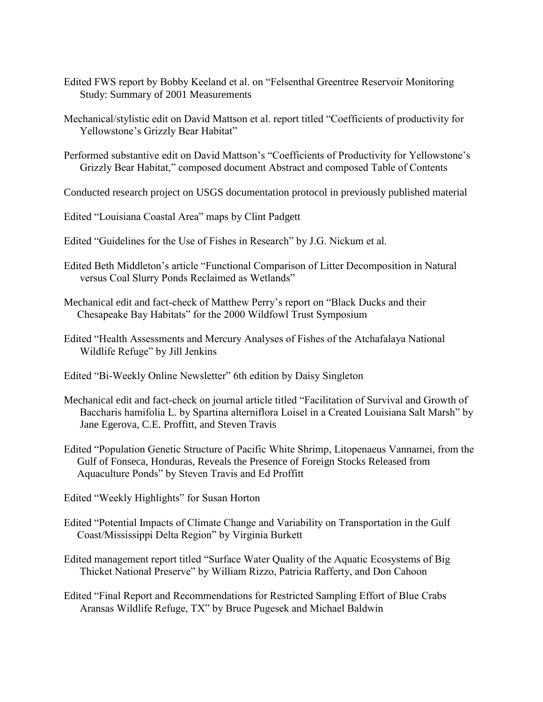- Edited FWS report by Bobby Keeland et al. on "Felsenthal Greentree Reservoir Monitoring Study: Summary of 2001 Measurements
- Mechanical/stylistic edit on David Mattson et al. report titled "Coefficients of productivity for Yellowstone's Grizzly Bear Habitat"
- Performed substantive edit on David Mattson's "Coefficients of Productivity for Yellowstone's Grizzly Bear Habitat," composed document Abstract and composed Table of Contents
- Conducted research project on USGS documentation protocol in previously published material
- Edited "Louisiana Coastal Area" maps by Clint Padgett
- Edited "Guidelines for the Use of Fishes in Research" by J.G. Nickum et al.
- Edited Beth Middleton's article "Functional Comparison of Litter Decomposition in Natural versus Coal Slurry Ponds Reclaimed as Wetlands"
- Mechanical edit and fact-check of Matthew Perry's report on "Black Ducks and their Chesapeake Bay Habitats" for the 2000 Wildfowl Trust Symposium
- Edited "Health Assessments and Mercury Analyses of Fishes of the Atchafalaya National Wildlife Refuge" by Jill Jenkins
- Edited "Bi-Weekly Online Newsletter" 6th edition by Daisy Singleton
- Mechanical edit and fact-check on journal article titled "Facilitation of Survival and Growth of Baccharis hamifolia L. by Spartina alterniflora Loisel in a Created Louisiana Salt Marsh" by Jane Egerova, C.E. Proffitt, and Steven Travis
- Edited "Population Genetic Structure of Pacific White Shrimp, Litopenaeus Vannamei, from the Gulf of Fonseca, Honduras, Reveals the Presence of Foreign Stocks Released from Aquaculture Ponds" by Steven Travis and Ed Proffitt
- Edited "Weekly Highlights" for Susan Horton
- Edited "Potential Impacts of Climate Change and Variability on Transportation in the Gulf Coast/Mississippi Delta Region" by Virginia Burkett
- Edited management report titled "Surface Water Quality of the Aquatic Ecosystems of Big Thicket National Preserve" by William Rizzo, Patricia Rafferty, and Don Cahoon
- Edited "Final Report and Recommendations for Restricted Sampling Effort of Blue Crabs Aransas Wildlife Refuge, TX" by Bruce Pugesek and Michael Baldwin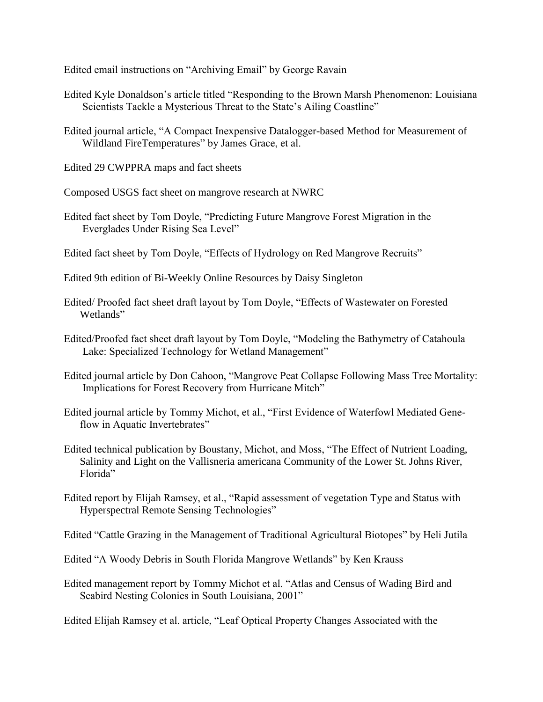Edited email instructions on "Archiving Email" by George Ravain

- Edited Kyle Donaldson's article titled "Responding to the Brown Marsh Phenomenon: Louisiana Scientists Tackle a Mysterious Threat to the State's Ailing Coastline"
- Edited journal article, "A Compact Inexpensive Datalogger-based Method for Measurement of Wildland FireTemperatures" by James Grace, et al.

Edited 29 CWPPRA maps and fact sheets

- Composed USGS fact sheet on mangrove research at NWRC
- Edited fact sheet by Tom Doyle, "Predicting Future Mangrove Forest Migration in the Everglades Under Rising Sea Level"
- Edited fact sheet by Tom Doyle, "Effects of Hydrology on Red Mangrove Recruits"
- Edited 9th edition of Bi-Weekly Online Resources by Daisy Singleton
- Edited/ Proofed fact sheet draft layout by Tom Doyle, "Effects of Wastewater on Forested Wetlands"
- Edited/Proofed fact sheet draft layout by Tom Doyle, "Modeling the Bathymetry of Catahoula Lake: Specialized Technology for Wetland Management"
- Edited journal article by Don Cahoon, "Mangrove Peat Collapse Following Mass Tree Mortality: Implications for Forest Recovery from Hurricane Mitch"
- Edited journal article by Tommy Michot, et al., "First Evidence of Waterfowl Mediated Gene flow in Aquatic Invertebrates"
- Edited technical publication by Boustany, Michot, and Moss, "The Effect of Nutrient Loading, Salinity and Light on the Vallisneria americana Community of the Lower St. Johns River, Florida"
- Edited report by Elijah Ramsey, et al., "Rapid assessment of vegetation Type and Status with Hyperspectral Remote Sensing Technologies"
- Edited "Cattle Grazing in the Management of Traditional Agricultural Biotopes" by Heli Jutila
- Edited "A Woody Debris in South Florida Mangrove Wetlands" by Ken Krauss
- Edited management report by Tommy Michot et al. "Atlas and Census of Wading Bird and Seabird Nesting Colonies in South Louisiana, 2001"

Edited Elijah Ramsey et al. article, "Leaf Optical Property Changes Associated with the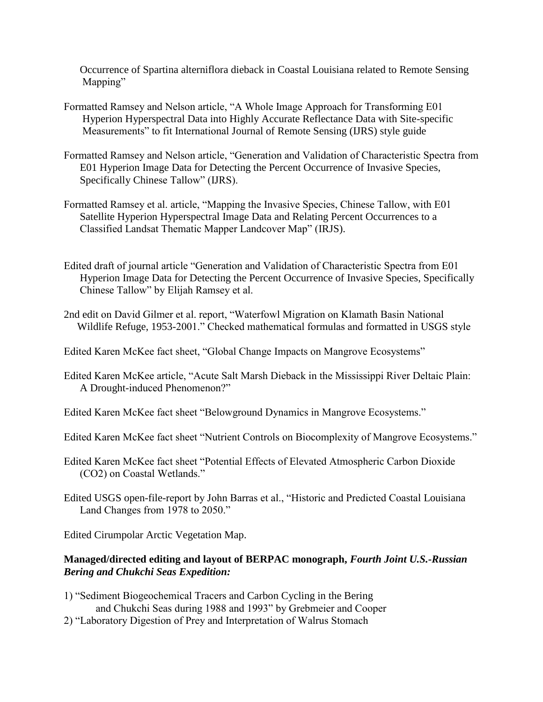Occurrence of Spartina alterniflora dieback in Coastal Louisiana related to Remote Sensing Mapping"

- Formatted Ramsey and Nelson article, "A Whole Image Approach for Transforming E01 Hyperion Hyperspectral Data into Highly Accurate Reflectance Data with Site-specific Measurements" to fit International Journal of Remote Sensing (IJRS) style guide
- Formatted Ramsey and Nelson article, "Generation and Validation of Characteristic Spectra from E01 Hyperion Image Data for Detecting the Percent Occurrence of Invasive Species, Specifically Chinese Tallow" (IJRS).
- Formatted Ramsey et al. article, "Mapping the Invasive Species, Chinese Tallow, with E01 Satellite Hyperion Hyperspectral Image Data and Relating Percent Occurrences to a Classified Landsat Thematic Mapper Landcover Map" (IRJS).
- Edited draft of journal article "Generation and Validation of Characteristic Spectra from E01 Hyperion Image Data for Detecting the Percent Occurrence of Invasive Species, Specifically Chinese Tallow" by Elijah Ramsey et al.
- 2nd edit on David Gilmer et al. report, "Waterfowl Migration on Klamath Basin National Wildlife Refuge, 1953-2001." Checked mathematical formulas and formatted in USGS style
- Edited Karen McKee fact sheet, "Global Change Impacts on Mangrove Ecosystems"
- Edited Karen McKee article, "Acute Salt Marsh Dieback in the Mississippi River Deltaic Plain: A Drought-induced Phenomenon?"
- Edited Karen McKee fact sheet "Belowground Dynamics in Mangrove Ecosystems."
- Edited Karen McKee fact sheet "Nutrient Controls on Biocomplexity of Mangrove Ecosystems."
- Edited Karen McKee fact sheet "Potential Effects of Elevated Atmospheric Carbon Dioxide (CO2) on Coastal Wetlands."
- Edited USGS open-file-report by John Barras et al., "Historic and Predicted Coastal Louisiana Land Changes from 1978 to 2050."

Edited Cirumpolar Arctic Vegetation Map.

#### **Managed/directed editing and layout of BERPAC monograph,** *Fourth Joint U.S.-Russian Bering and Chukchi Seas Expedition:*

- 1) "Sediment Biogeochemical Tracers and Carbon Cycling in the Bering and Chukchi Seas during 1988 and 1993" by Grebmeier and Cooper
- 2) "Laboratory Digestion of Prey and Interpretation of Walrus Stomach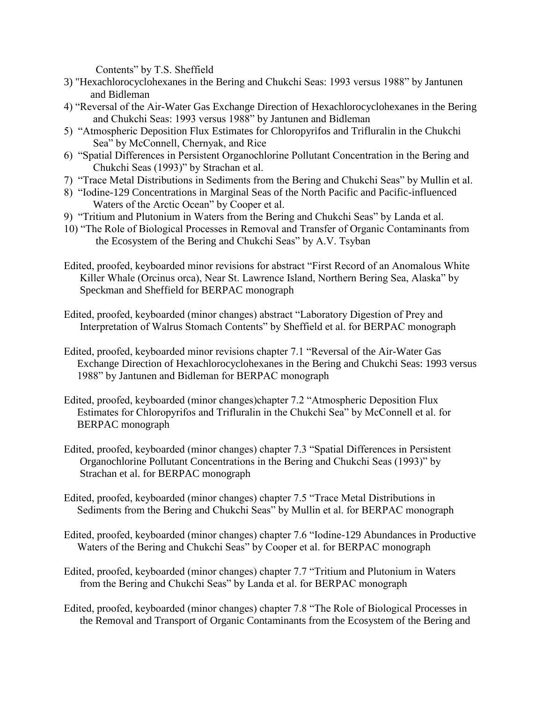Contents" by T.S. Sheffield

- 3) "Hexachlorocyclohexanes in the Bering and Chukchi Seas: 1993 versus 1988" by Jantunen and Bidleman
- 4) "Reversal of the Air-Water Gas Exchange Direction of Hexachlorocyclohexanes in the Bering and Chukchi Seas: 1993 versus 1988" by Jantunen and Bidleman
- 5) "Atmospheric Deposition Flux Estimates for Chloropyrifos and Trifluralin in the Chukchi Sea" by McConnell, Chernyak, and Rice
- 6) "Spatial Differences in Persistent Organochlorine Pollutant Concentration in the Bering and Chukchi Seas (1993)" by Strachan et al.
- 7) "Trace Metal Distributions in Sediments from the Bering and Chukchi Seas" by Mullin et al.
- 8) "Iodine-129 Concentrations in Marginal Seas of the North Pacific and Pacific-influenced Waters of the Arctic Ocean" by Cooper et al.
- 9) "Tritium and Plutonium in Waters from the Bering and Chukchi Seas" by Landa et al.
- 10) "The Role of Biological Processes in Removal and Transfer of Organic Contaminants from the Ecosystem of the Bering and Chukchi Seas" by A.V. Tsyban
- Edited, proofed, keyboarded minor revisions for abstract "First Record of an Anomalous White Killer Whale (Orcinus orca), Near St. Lawrence Island, Northern Bering Sea, Alaska" by Speckman and Sheffield for BERPAC monograph
- Edited, proofed, keyboarded (minor changes) abstract "Laboratory Digestion of Prey and Interpretation of Walrus Stomach Contents" by Sheffield et al. for BERPAC monograph
- Edited, proofed, keyboarded minor revisions chapter 7.1 "Reversal of the Air-Water Gas Exchange Direction of Hexachlorocyclohexanes in the Bering and Chukchi Seas: 1993 versus 1988" by Jantunen and Bidleman for BERPAC monograph
- Edited, proofed, keyboarded (minor changes)chapter 7.2 "Atmospheric Deposition Flux Estimates for Chloropyrifos and Trifluralin in the Chukchi Sea" by McConnell et al. for BERPAC monograph
- Edited, proofed, keyboarded (minor changes) chapter 7.3 "Spatial Differences in Persistent Organochlorine Pollutant Concentrations in the Bering and Chukchi Seas (1993)" by Strachan et al. for BERPAC monograph
- Edited, proofed, keyboarded (minor changes) chapter 7.5 "Trace Metal Distributions in Sediments from the Bering and Chukchi Seas" by Mullin et al. for BERPAC monograph
- Edited, proofed, keyboarded (minor changes) chapter 7.6 "Iodine-129 Abundances in Productive Waters of the Bering and Chukchi Seas" by Cooper et al. for BERPAC monograph
- Edited, proofed, keyboarded (minor changes) chapter 7.7 "Tritium and Plutonium in Waters from the Bering and Chukchi Seas" by Landa et al. for BERPAC monograph
- Edited, proofed, keyboarded (minor changes) chapter 7.8 "The Role of Biological Processes in the Removal and Transport of Organic Contaminants from the Ecosystem of the Bering and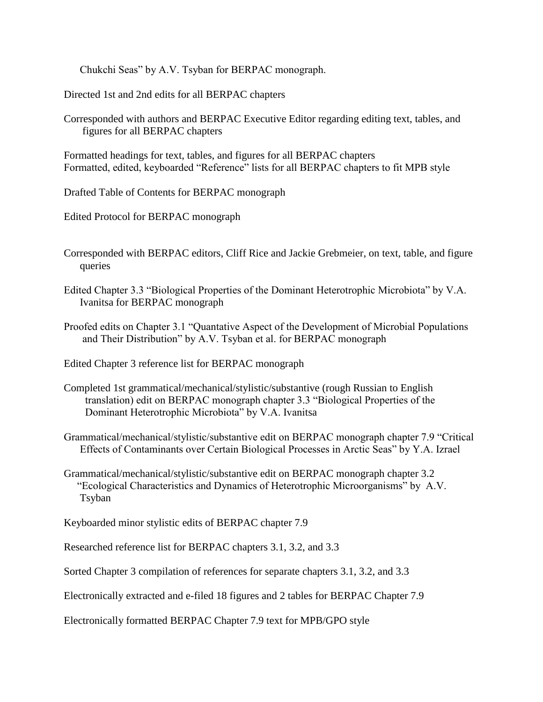Chukchi Seas" by A.V. Tsyban for BERPAC monograph.

Directed 1st and 2nd edits for all BERPAC chapters

Corresponded with authors and BERPAC Executive Editor regarding editing text, tables, and figures for all BERPAC chapters

Formatted headings for text, tables, and figures for all BERPAC chapters Formatted, edited, keyboarded "Reference" lists for all BERPAC chapters to fit MPB style

Drafted Table of Contents for BERPAC monograph

Edited Protocol for BERPAC monograph

- Corresponded with BERPAC editors, Cliff Rice and Jackie Grebmeier, on text, table, and figure queries
- Edited Chapter 3.3 "Biological Properties of the Dominant Heterotrophic Microbiota" by V.A. Ivanitsa for BERPAC monograph

Proofed edits on Chapter 3.1 "Quantative Aspect of the Development of Microbial Populations and Their Distribution" by A.V. Tsyban et al. for BERPAC monograph

Edited Chapter 3 reference list for BERPAC monograph

- Completed 1st grammatical/mechanical/stylistic/substantive (rough Russian to English translation) edit on BERPAC monograph chapter 3.3 "Biological Properties of the Dominant Heterotrophic Microbiota" by V.A. Ivanitsa
- Grammatical/mechanical/stylistic/substantive edit on BERPAC monograph chapter 7.9 "Critical Effects of Contaminants over Certain Biological Processes in Arctic Seas" by Y.A. Izrael
- Grammatical/mechanical/stylistic/substantive edit on BERPAC monograph chapter 3.2 "Ecological Characteristics and Dynamics of Heterotrophic Microorganisms" by A.V. Tsyban

Keyboarded minor stylistic edits of BERPAC chapter 7.9

Researched reference list for BERPAC chapters 3.1, 3.2, and 3.3

Sorted Chapter 3 compilation of references for separate chapters 3.1, 3.2, and 3.3

Electronically extracted and e-filed 18 figures and 2 tables for BERPAC Chapter 7.9

Electronically formatted BERPAC Chapter 7.9 text for MPB/GPO style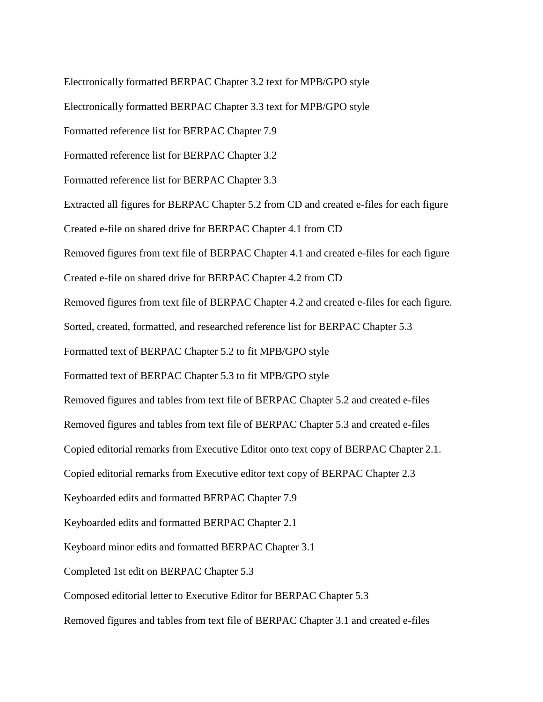Electronically formatted BERPAC Chapter 3.2 text for MPB/GPO style Electronically formatted BERPAC Chapter 3.3 text for MPB/GPO style Formatted reference list for BERPAC Chapter 7.9 Formatted reference list for BERPAC Chapter 3.2 Formatted reference list for BERPAC Chapter 3.3 Extracted all figures for BERPAC Chapter 5.2 from CD and created e-files for each figure Created e-file on shared drive for BERPAC Chapter 4.1 from CD Removed figures from text file of BERPAC Chapter 4.1 and created e-files for each figure Created e-file on shared drive for BERPAC Chapter 4.2 from CD Removed figures from text file of BERPAC Chapter 4.2 and created e-files for each figure. Sorted, created, formatted, and researched reference list for BERPAC Chapter 5.3 Formatted text of BERPAC Chapter 5.2 to fit MPB/GPO style Formatted text of BERPAC Chapter 5.3 to fit MPB/GPO style Removed figures and tables from text file of BERPAC Chapter 5.2 and created e-files Removed figures and tables from text file of BERPAC Chapter 5.3 and created e-files Copied editorial remarks from Executive Editor onto text copy of BERPAC Chapter 2.1. Copied editorial remarks from Executive editor text copy of BERPAC Chapter 2.3 Keyboarded edits and formatted BERPAC Chapter 7.9 Keyboarded edits and formatted BERPAC Chapter 2.1 Keyboard minor edits and formatted BERPAC Chapter 3.1 Completed 1st edit on BERPAC Chapter 5.3 Composed editorial letter to Executive Editor for BERPAC Chapter 5.3 Removed figures and tables from text file of BERPAC Chapter 3.1 and created e-files